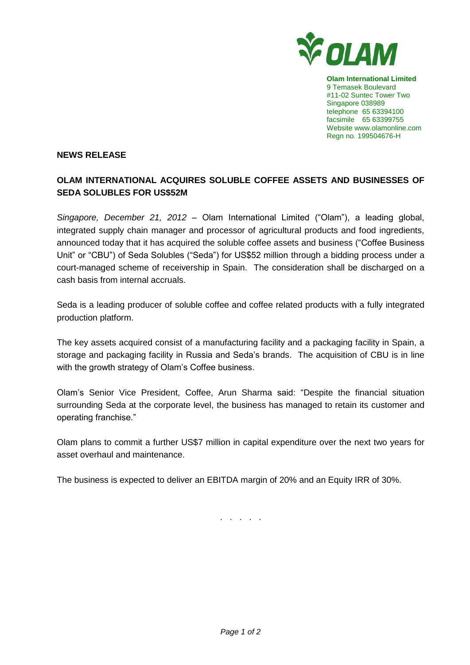

**Olam International Limited** 9 Temasek Boulevard #11-02 Suntec Tower Two Singapore 038989 telephone 65 63394100 facsimile 65 63399755 Website www.olamonline.com Regn no. 199504676-H

## **NEWS RELEASE**

## **OLAM INTERNATIONAL ACQUIRES SOLUBLE COFFEE ASSETS AND BUSINESSES OF SEDA SOLUBLES FOR US\$52M**

*Singapore, December 21, 2012* – Olam International Limited ("Olam"), a leading global, integrated supply chain manager and processor of agricultural products and food ingredients, announced today that it has acquired the soluble coffee assets and business ("Coffee Business Unit" or "CBU") of Seda Solubles ("Seda") for US\$52 million through a bidding process under a court-managed scheme of receivership in Spain. The consideration shall be discharged on a cash basis from internal accruals.

Seda is a leading producer of soluble coffee and coffee related products with a fully integrated production platform.

The key assets acquired consist of a manufacturing facility and a packaging facility in Spain, a storage and packaging facility in Russia and Seda's brands. The acquisition of CBU is in line with the growth strategy of Olam's Coffee business.

Olam's Senior Vice President, Coffee, Arun Sharma said: "Despite the financial situation surrounding Seda at the corporate level, the business has managed to retain its customer and operating franchise."

Olam plans to commit a further US\$7 million in capital expenditure over the next two years for asset overhaul and maintenance.

The business is expected to deliver an EBITDA margin of 20% and an Equity IRR of 30%.

. . . . .